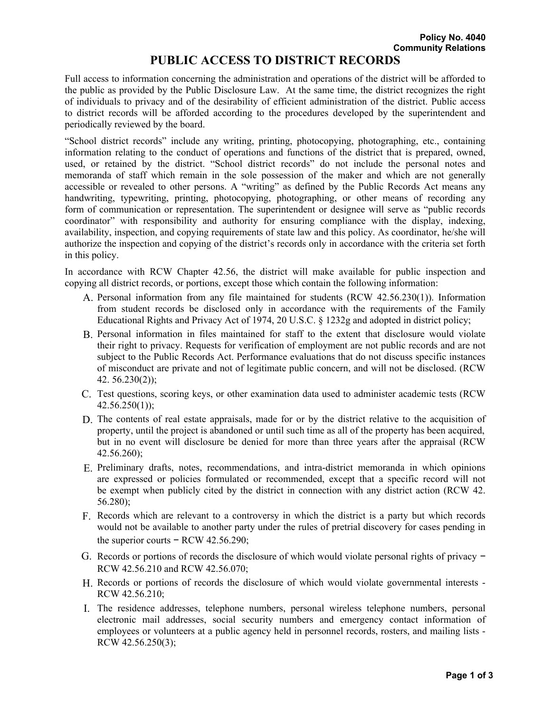## **PUBLIC ACCESS TO DISTRICT RECORDS**

Full access to information concerning the administration and operations of the district will be afforded to the public as provided by the Public Disclosure Law. At the same time, the district recognizes the right of individuals to privacy and of the desirability of efficient administration of the district. Public access to district records will be afforded according to the procedures developed by the superintendent and periodically reviewed by the board.

"School district records" include any writing, printing, photocopying, photographing, etc., containing information relating to the conduct of operations and functions of the district that is prepared, owned, used, or retained by the district. "School district records" do not include the personal notes and memoranda of staff which remain in the sole possession of the maker and which are not generally accessible or revealed to other persons. A "writing" as defined by the Public Records Act means any handwriting, typewriting, printing, photocopying, photographing, or other means of recording any form of communication or representation. The superintendent or designee will serve as "public records coordinator" with responsibility and authority for ensuring compliance with the display, indexing, availability, inspection, and copying requirements of state law and this policy. As coordinator, he/she will authorize the inspection and copying of the district's records only in accordance with the criteria set forth in this policy.

In accordance with RCW Chapter 42.56, the district will make available for public inspection and copying all district records, or portions, except those which contain the following information:

- A. Personal information from any file maintained for students (RCW 42.56.230(1)). Information from student records be disclosed only in accordance with the requirements of the Family Educational Rights and Privacy Act of 1974, 20 U.S.C. § 1232g and adopted in district policy;
- B. Personal information in files maintained for staff to the extent that disclosure would violate their right to privacy. Requests for verification of employment are not public records and are not subject to the Public Records Act. Performance evaluations that do not discuss specific instances of misconduct are private and not of legitimate public concern, and will not be disclosed. (RCW 42. 56.230(2));
- C. Test questions, scoring keys, or other examination data used to administer academic tests (RCW  $42.56.250(1)$ ;
- D. The contents of real estate appraisals, made for or by the district relative to the acquisition of property, until the project is abandoned or until such time as all of the property has been acquired, but in no event will disclosure be denied for more than three years after the appraisal (RCW 42.56.260);
- E. Preliminary drafts, notes, recommendations, and intra-district memoranda in which opinions are expressed or policies formulated or recommended, except that a specific record will not be exempt when publicly cited by the district in connection with any district action (RCW 42. 56.280);
- F. Records which are relevant to a controversy in which the district is a party but which records would not be available to another party under the rules of pretrial discovery for cases pending in the superior courts  $-$  RCW 42.56.290;
- G. Records or portions of records the disclosure of which would violate personal rights of privacy − RCW 42.56.210 and RCW 42.56.070;
- H. Records or portions of records the disclosure of which would violate governmental interests RCW 42.56.210;
- I. The residence addresses, telephone numbers, personal wireless telephone numbers, personal electronic mail addresses, social security numbers and emergency contact information of employees or volunteers at a public agency held in personnel records, rosters, and mailing lists - RCW 42.56.250(3);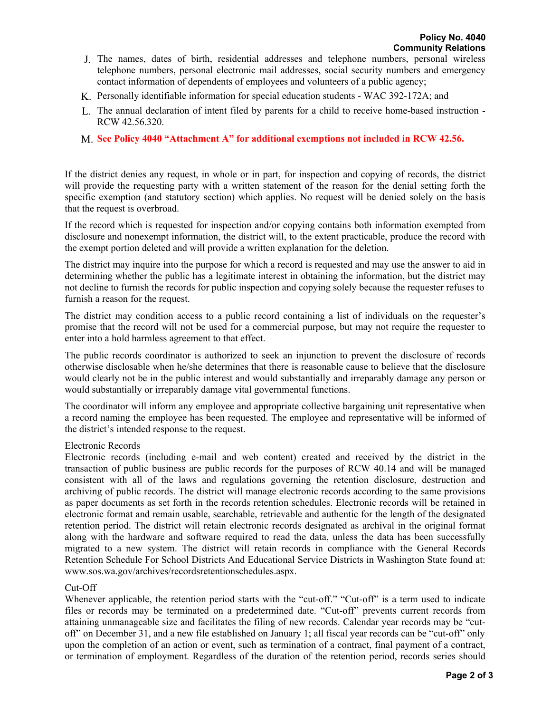- J. The names, dates of birth, residential addresses and telephone numbers, personal wireless telephone numbers, personal electronic mail addresses, social security numbers and emergency contact information of dependents of employees and volunteers of a public agency;
- K. Personally identifiable information for special education students WAC 392-172A; and
- L. The annual declaration of intent filed by parents for a child to receive home-based instruction RCW 42.56.320.
- M. **See Policy 4040 "Attachment A" for additional exemptions not included in RCW 42.56.**

If the district denies any request, in whole or in part, for inspection and copying of records, the district will provide the requesting party with a written statement of the reason for the denial setting forth the specific exemption (and statutory section) which applies. No request will be denied solely on the basis that the request is overbroad.

If the record which is requested for inspection and/or copying contains both information exempted from disclosure and nonexempt information, the district will, to the extent practicable, produce the record with the exempt portion deleted and will provide a written explanation for the deletion.

The district may inquire into the purpose for which a record is requested and may use the answer to aid in determining whether the public has a legitimate interest in obtaining the information, but the district may not decline to furnish the records for public inspection and copying solely because the requester refuses to furnish a reason for the request.

The district may condition access to a public record containing a list of individuals on the requester's promise that the record will not be used for a commercial purpose, but may not require the requester to enter into a hold harmless agreement to that effect.

The public records coordinator is authorized to seek an injunction to prevent the disclosure of records otherwise disclosable when he/she determines that there is reasonable cause to believe that the disclosure would clearly not be in the public interest and would substantially and irreparably damage any person or would substantially or irreparably damage vital governmental functions.

The coordinator will inform any employee and appropriate collective bargaining unit representative when a record naming the employee has been requested. The employee and representative will be informed of the district's intended response to the request.

## Electronic Records

Electronic records (including e-mail and web content) created and received by the district in the transaction of public business are public records for the purposes of RCW 40.14 and will be managed consistent with all of the laws and regulations governing the retention disclosure, destruction and archiving of public records. The district will manage electronic records according to the same provisions as paper documents as set forth in the records retention schedules. Electronic records will be retained in electronic format and remain usable, searchable, retrievable and authentic for the length of the designated retention period. The district will retain electronic records designated as archival in the original format along with the hardware and software required to read the data, unless the data has been successfully migrated to a new system. The district will retain records in compliance with the General Records Retention Schedule For School Districts And Educational Service Districts in Washington State found at: www.sos.wa.gov/archives/recordsretentionschedules.aspx.

## Cut-Off

Whenever applicable, the retention period starts with the "cut-off." "Cut-off" is a term used to indicate files or records may be terminated on a predetermined date. "Cut-off" prevents current records from attaining unmanageable size and facilitates the filing of new records. Calendar year records may be "cutoff" on December 31, and a new file established on January 1; all fiscal year records can be "cut-off" only upon the completion of an action or event, such as termination of a contract, final payment of a contract, or termination of employment. Regardless of the duration of the retention period, records series should